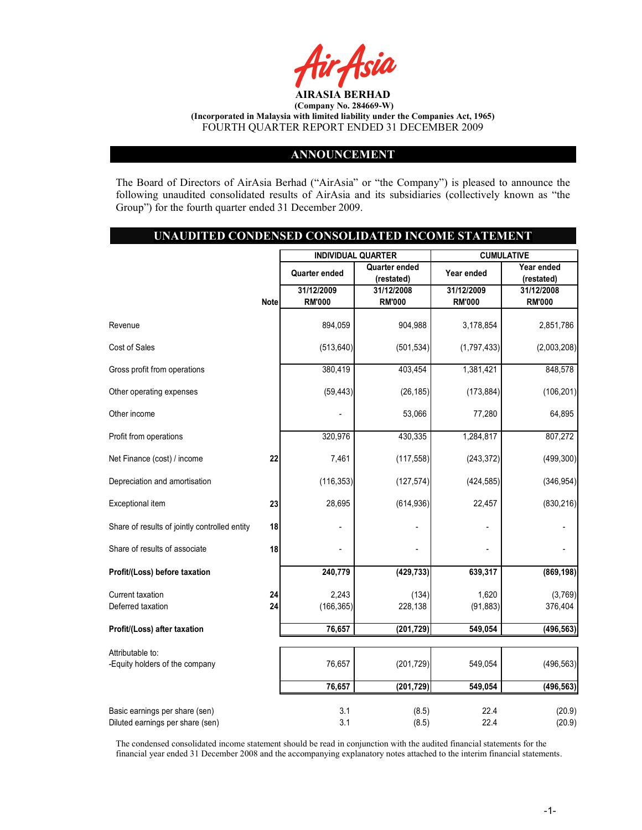

#### ANNOUNCEMENT

The Board of Directors of AirAsia Berhad ("AirAsia" or "the Company") is pleased to announce the following unaudited consolidated results of AirAsia and its subsidiaries (collectively known as "the Group") for the fourth quarter ended 31 December 2009.

## UNAUDITED CONDENSED CONSOLIDATED INCOME STATEMENT

|                                               |             | <b>INDIVIDUAL QUARTER</b>      |               | <b>CUMULATIVE</b> |               |  |
|-----------------------------------------------|-------------|--------------------------------|---------------|-------------------|---------------|--|
|                                               |             | Quarter ended<br>Quarter ended |               | Year ended        | Year ended    |  |
|                                               |             |                                | (restated)    |                   | (restated)    |  |
|                                               |             | 31/12/2009                     | 31/12/2008    | 31/12/2009        | 31/12/2008    |  |
|                                               | <b>Note</b> | <b>RM'000</b>                  | <b>RM'000</b> | <b>RM'000</b>     | <b>RM'000</b> |  |
| Revenue                                       |             | 894,059                        | 904,988       | 3,178,854         | 2,851,786     |  |
|                                               |             |                                |               |                   |               |  |
| Cost of Sales                                 |             | (513, 640)                     | (501, 534)    | (1,797,433)       | (2,003,208)   |  |
| Gross profit from operations                  |             | 380,419                        | 403,454       | 1,381,421         | 848,578       |  |
| Other operating expenses                      |             | (59, 443)                      | (26, 185)     | (173, 884)        | (106, 201)    |  |
| Other income                                  |             |                                | 53,066        | 77,280            | 64,895        |  |
| Profit from operations                        |             | 320,976                        | 430,335       | 1,284,817         | 807,272       |  |
|                                               |             |                                |               |                   |               |  |
| Net Finance (cost) / income                   | 22          | 7,461                          | (117, 558)    | (243, 372)        | (499, 300)    |  |
| Depreciation and amortisation                 |             | (116, 353)                     | (127, 574)    | (424, 585)        | (346, 954)    |  |
| Exceptional item                              | 23          | 28,695                         | (614, 936)    | 22,457            | (830, 216)    |  |
| Share of results of jointly controlled entity | 18          |                                |               |                   |               |  |
| Share of results of associate                 | 18          |                                |               |                   |               |  |
| Profit/(Loss) before taxation                 |             | 240,779                        | (429, 733)    | 639,317           | (869, 198)    |  |
| Current taxation                              | 24          | 2,243                          | (134)         | 1,620             | (3,769)       |  |
| Deferred taxation                             | 24          | (166, 365)                     | 228,138       | (91, 883)         | 376,404       |  |
| Profit/(Loss) after taxation                  |             | 76,657                         | (201, 729)    | 549,054           | (496, 563)    |  |
| Attributable to:                              |             |                                |               |                   |               |  |
| -Equity holders of the company                |             | 76,657                         | (201, 729)    | 549,054           | (496, 563)    |  |
|                                               |             | 76,657                         | (201, 729)    | 549,054           | (496, 563)    |  |
| Basic earnings per share (sen)                |             | 3.1                            | (8.5)         | 22.4              | (20.9)        |  |
| Diluted earnings per share (sen)              |             | 3.1                            | (8.5)         | 22.4              | (20.9)        |  |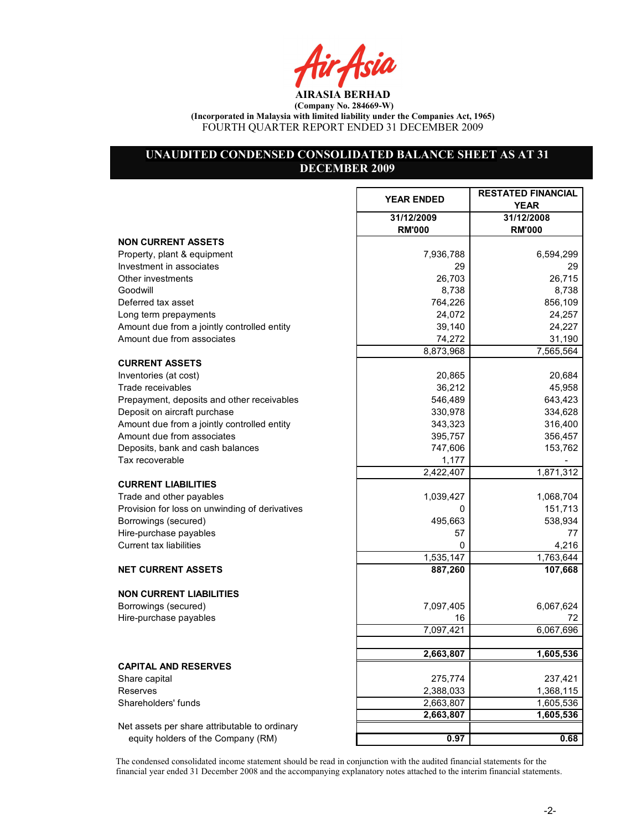Air Asia

# UNAUDITED CONDENSED CONSOLIDATED BALANCE SHEET AS AT 31 DECEMBER 2009

|                                                | <b>YEAR ENDED</b>           | <b>RESTATED FINANCIAL</b><br><b>YEAR</b> |
|------------------------------------------------|-----------------------------|------------------------------------------|
|                                                | 31/12/2009<br><b>RM'000</b> | 31/12/2008<br><b>RM'000</b>              |
| <b>NON CURRENT ASSETS</b>                      |                             |                                          |
| Property, plant & equipment                    | 7,936,788                   | 6,594,299                                |
| Investment in associates                       | 29                          | 29                                       |
| Other investments                              | 26,703                      | 26,715                                   |
| Goodwill                                       | 8,738                       | 8,738                                    |
| Deferred tax asset                             | 764,226                     | 856,109                                  |
| Long term prepayments                          | 24,072                      | 24,257                                   |
| Amount due from a jointly controlled entity    | 39,140                      | 24,227                                   |
| Amount due from associates                     | 74,272                      | 31,190                                   |
|                                                | 8,873,968                   | 7,565,564                                |
| <b>CURRENT ASSETS</b>                          |                             |                                          |
| Inventories (at cost)                          | 20,865                      | 20,684                                   |
| Trade receivables                              | 36,212                      | 45,958                                   |
| Prepayment, deposits and other receivables     | 546,489                     | 643,423                                  |
| Deposit on aircraft purchase                   | 330,978                     | 334,628                                  |
| Amount due from a jointly controlled entity    | 343,323                     | 316,400                                  |
| Amount due from associates                     | 395,757                     | 356,457                                  |
| Deposits, bank and cash balances               | 747,606                     | 153,762                                  |
|                                                |                             |                                          |
| Tax recoverable                                | 1,177                       |                                          |
|                                                | 2,422,407                   | 1,871,312                                |
| <b>CURRENT LIABILITIES</b>                     |                             |                                          |
| Trade and other payables                       | 1,039,427                   | 1,068,704                                |
| Provision for loss on unwinding of derivatives | 0                           | 151,713                                  |
| Borrowings (secured)                           | 495,663                     | 538,934                                  |
| Hire-purchase payables                         | 57                          | 77                                       |
| <b>Current tax liabilities</b>                 | 0                           | 4,216                                    |
|                                                | 1,535,147                   | 1,763,644                                |
| <b>NET CURRENT ASSETS</b>                      | 887,260                     | 107,668                                  |
| <b>NON CURRENT LIABILITIES</b>                 |                             |                                          |
| Borrowings (secured)                           | 7,097,405                   | 6,067,624                                |
| Hire-purchase payables                         | 16                          | 72                                       |
|                                                | 7,097,421                   | 6,067,696                                |
|                                                |                             |                                          |
|                                                | 2,663,807                   | 1,605,536                                |
| <b>CAPITAL AND RESERVES</b>                    |                             |                                          |
| Share capital                                  | 275,774                     | 237,421                                  |
| Reserves                                       | 2,388,033                   | 1,368,115                                |
| Shareholders' funds                            | 2,663,807                   | 1,605,536                                |
|                                                | 2,663,807                   | 1,605,536                                |
| Net assets per share attributable to ordinary  |                             |                                          |
| equity holders of the Company (RM)             | 0.97                        | 0.68                                     |
|                                                |                             |                                          |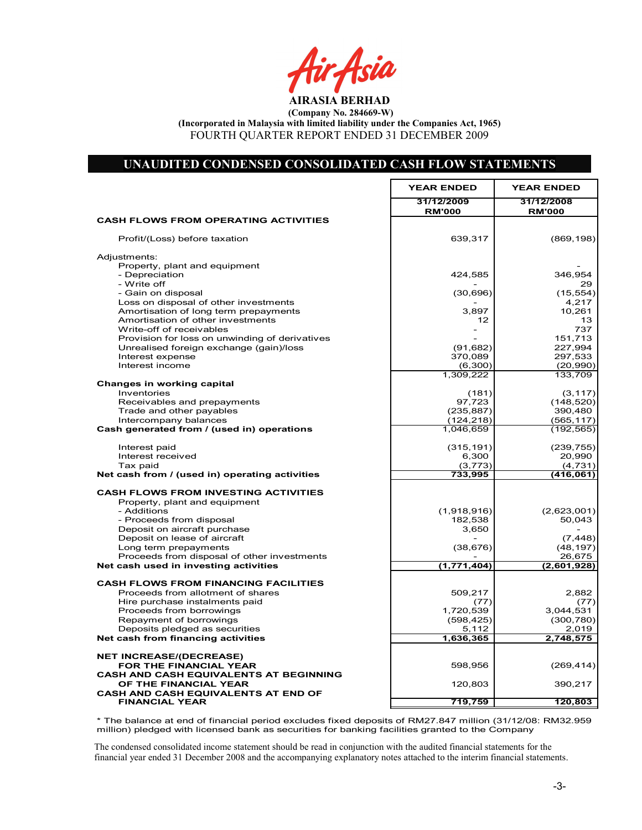rAsia

AIRASIA BERHAD

(Company No. 284669-W) (Incorporated in Malaysia with limited liability under the Companies Act, 1965)

FOURTH QUARTER REPORT ENDED 31 DECEMBER 2009

# UNAUDITED CONDENSED CONSOLIDATED CASH FLOW STATEMENTS

r

|                                                            | <b>YEAR ENDED</b>           | <b>YEAR ENDED</b>           |  |
|------------------------------------------------------------|-----------------------------|-----------------------------|--|
|                                                            | 31/12/2009<br><b>RM'000</b> | 31/12/2008<br><b>RM'000</b> |  |
| <b>CASH FLOWS FROM OPERATING ACTIVITIES</b>                |                             |                             |  |
| Profit/(Loss) before taxation                              | 639,317                     | (869, 198)                  |  |
| Adjustments:                                               |                             |                             |  |
| Property, plant and equipment                              |                             |                             |  |
| - Depreciation                                             | 424,585                     | 346,954                     |  |
| - Write off<br>- Gain on disposal                          | (30, 696)                   | 29.<br>(15, 554)            |  |
| Loss on disposal of other investments                      |                             | 4,217                       |  |
| Amortisation of long term prepayments                      | 3,897                       | 10,261                      |  |
| Amortisation of other investments                          | 12                          | 13                          |  |
| Write-off of receivables                                   |                             | 737                         |  |
| Provision for loss on unwinding of derivatives             |                             | 151,713                     |  |
| Unrealised foreign exchange (gain)/loss                    | (91, 682)                   | 227,994                     |  |
| Interest expense                                           | 370,089                     | 297,533                     |  |
| Interest income                                            | (6, 300)<br>1,309,222       | (20, 990)<br>133,709        |  |
| Changes in working capital                                 |                             |                             |  |
| Inventories                                                | (181)                       | (3, 117)                    |  |
| Receivables and prepayments                                | 97,723                      | (148, 520)                  |  |
| Trade and other payables                                   | (235, 887)                  | 390,480                     |  |
| Intercompany balances                                      | (124, 218)                  | (565, 117)                  |  |
| Cash generated from / (used in) operations                 | 1,046,659                   | (192, 565)                  |  |
| Interest paid                                              | (315, 191)                  | (239, 755)                  |  |
| Interest received                                          | 6,300                       | 20,990                      |  |
| Tax paid<br>Net cash from / (used in) operating activities | (3, 773)<br>733,995         | (4,731)<br>(416,061)        |  |
|                                                            |                             |                             |  |
| <b>CASH FLOWS FROM INVESTING ACTIVITIES</b>                |                             |                             |  |
| Property, plant and equipment                              |                             |                             |  |
| - Additions<br>- Proceeds from disposal                    | (1,918,916)<br>182,538      | (2,623,001)<br>50,043       |  |
| Deposit on aircraft purchase                               | 3,650                       |                             |  |
| Deposit on lease of aircraft                               |                             | (7, 448)                    |  |
| Long term prepayments                                      | (38, 676)                   | (48, 197)                   |  |
| Proceeds from disposal of other investments                |                             | 26,675                      |  |
| Net cash used in investing activities                      | (1,771,404)                 | (2,601,928)                 |  |
| <b>CASH FLOWS FROM FINANCING FACILITIES</b>                |                             |                             |  |
| Proceeds from allotment of shares                          | 509,217                     | 2,882                       |  |
| Hire purchase instalments paid                             | (77)                        | (77)                        |  |
| Proceeds from borrowings                                   | 1,720,539                   | 3,044,531                   |  |
| Repayment of borrowings                                    | (598, 425)                  | (300, 780)                  |  |
| Deposits pledged as securities                             | 5,112                       | 2,019                       |  |
| Net cash from financing activities                         | 1,636,365                   | 2,748,575                   |  |
| <b>NET INCREASE/(DECREASE)</b>                             |                             |                             |  |
| FOR THE FINANCIAL YEAR                                     | 598,956                     | (269, 414)                  |  |
| <b>CASH AND CASH EQUIVALENTS AT BEGINNING</b>              |                             |                             |  |
| OF THE FINANCIAL YEAR                                      | 120,803                     | 390,217                     |  |
| CASH AND CASH EQUIVALENTS AT END OF                        |                             |                             |  |
| <b>FINANCIAL YEAR</b>                                      | 719,759                     | 120,803                     |  |

Net Cash Flow 598,957 (269,414) (269,579 (269,579 (269,579 (269,579 (269,579 (269,579 (269,579 (269,579 (269,5 \* The balance at end of financial period excludes fixed deposits of RM27.847 million (31/12/08: RM32.959 million) pledged with licensed bank as securities for banking facilities granted to the Company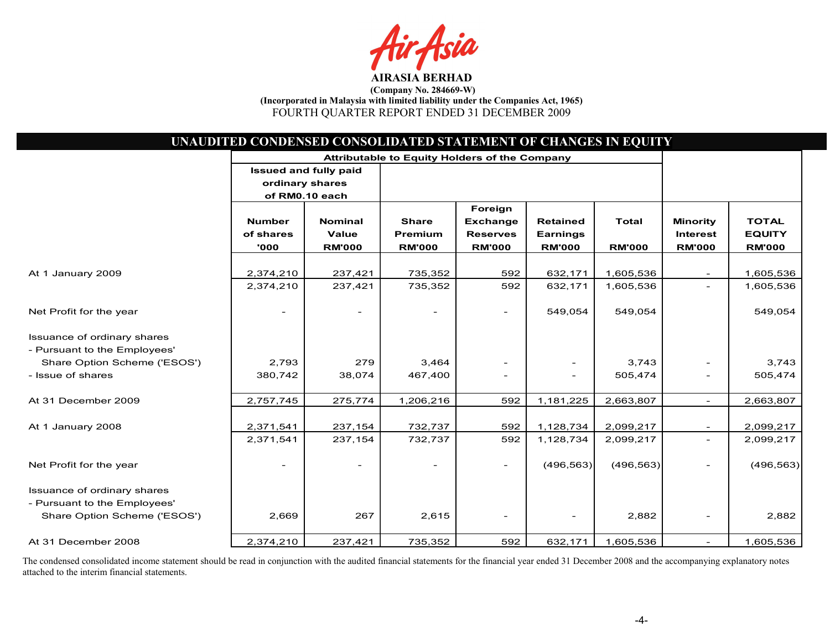fsia

| UNAUDITED CONDENSED CONSOLIDATED STATEMENT OF CHANGES IN EQUITY |                                               |                              |                |                          |                          |               |                          |               |
|-----------------------------------------------------------------|-----------------------------------------------|------------------------------|----------------|--------------------------|--------------------------|---------------|--------------------------|---------------|
|                                                                 | Attributable to Equity Holders of the Company |                              |                |                          |                          |               |                          |               |
|                                                                 |                                               | <b>Issued and fully paid</b> |                |                          |                          |               |                          |               |
|                                                                 | ordinary shares                               |                              |                |                          |                          |               |                          |               |
|                                                                 |                                               | of RM0.10 each               |                |                          |                          |               |                          |               |
|                                                                 |                                               |                              |                | Foreign                  |                          |               |                          |               |
|                                                                 | <b>Number</b>                                 | <b>Nominal</b>               | <b>Share</b>   | <b>Exchange</b>          | <b>Retained</b>          | <b>Total</b>  | <b>Minority</b>          | <b>TOTAL</b>  |
|                                                                 | of shares                                     | Value                        | <b>Premium</b> | <b>Reserves</b>          | <b>Earnings</b>          |               | <b>Interest</b>          | <b>EQUITY</b> |
|                                                                 | '000                                          | <b>RM'000</b>                | <b>RM'000</b>  | <b>RM'000</b>            | <b>RM'000</b>            | <b>RM'000</b> | <b>RM'000</b>            | <b>RM'000</b> |
| At 1 January 2009                                               | 2,374,210                                     | 237,421                      | 735,352        | 592                      | 632,171                  | 1,605,536     |                          | 1,605,536     |
|                                                                 | 2,374,210                                     | 237,421                      | 735,352        | 592                      | 632,171                  | 1,605,536     |                          | 1,605,536     |
|                                                                 |                                               |                              |                |                          |                          |               |                          |               |
| Net Profit for the year                                         |                                               |                              |                | $\overline{\phantom{a}}$ | 549,054                  | 549,054       |                          | 549,054       |
| Issuance of ordinary shares                                     |                                               |                              |                |                          |                          |               |                          |               |
| - Pursuant to the Employees'                                    |                                               |                              |                |                          |                          |               |                          |               |
| Share Option Scheme ('ESOS')                                    | 2,793                                         | 279                          | 3,464          |                          | $\overline{\phantom{a}}$ | 3,743         |                          | 3,743         |
| - Issue of shares                                               | 380.742                                       | 38,074                       | 467.400        |                          | $\overline{\phantom{a}}$ | 505,474       |                          | 505,474       |
| At 31 December 2009                                             | 2,757,745                                     | 275,774                      | 1,206,216      | 592                      | 1,181,225                | 2,663,807     | $\overline{\phantom{0}}$ | 2,663,807     |
|                                                                 |                                               |                              |                |                          |                          |               |                          |               |
| At 1 January 2008                                               | 2,371,541                                     | 237,154                      | 732,737        | 592                      | 1,128,734                | 2,099,217     |                          | 2,099,217     |
|                                                                 | 2,371,541                                     | 237,154                      | 732,737        | 592                      | 1,128,734                | 2,099,217     | $\overline{\phantom{0}}$ | 2,099,217     |
| Net Profit for the year                                         |                                               |                              |                |                          | (496, 563)               | (496, 563)    |                          | (496, 563)    |
| Issuance of ordinary shares                                     |                                               |                              |                |                          |                          |               |                          |               |
| - Pursuant to the Employees'                                    |                                               |                              |                |                          |                          |               |                          |               |
| Share Option Scheme ('ESOS')                                    | 2,669                                         | 267                          | 2,615          |                          |                          | 2,882         |                          | 2,882         |
|                                                                 |                                               |                              |                | $ \,$                    | $\overline{\phantom{a}}$ |               |                          |               |
| At 31 December 2008                                             | 2,374,210                                     | 237,421                      | 735,352        | 592                      | 632,171                  | 1,605,536     | $\overline{\phantom{0}}$ | 1,605,536     |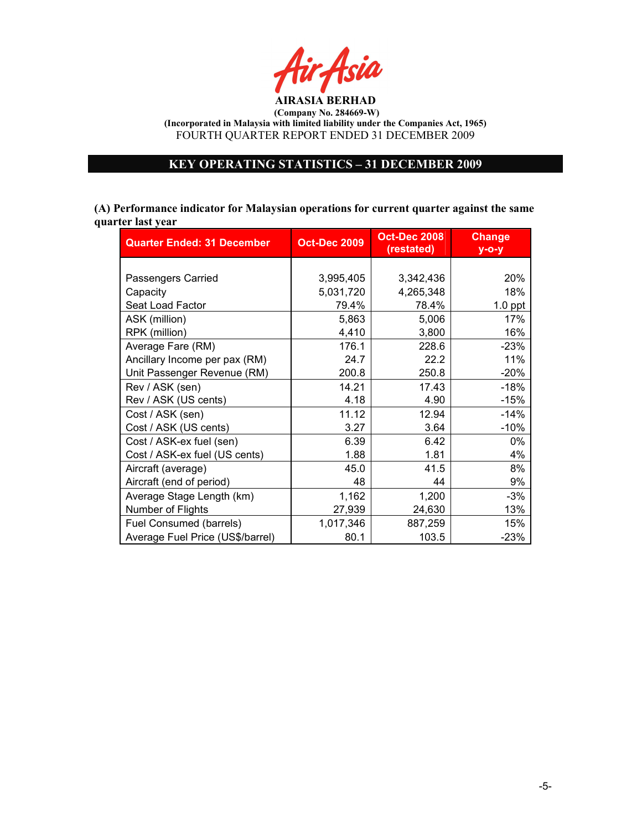

# KEY OPERATING STATISTICS – 31 DECEMBER 2009

(A) Performance indicator for Malaysian operations for current quarter against the same quarter last year

| <b>Quarter Ended: 31 December</b> | <b>Oct-Dec 2009</b> | <b>Oct-Dec 2008</b><br>(restated) | <b>Change</b><br>$y$ -o-y |
|-----------------------------------|---------------------|-----------------------------------|---------------------------|
|                                   |                     |                                   |                           |
| Passengers Carried                | 3,995,405           | 3,342,436                         | 20%                       |
| Capacity                          | 5,031,720           | 4,265,348                         | 18%                       |
| Seat Load Factor                  | 79.4%               | 78.4%                             | $1.0$ ppt                 |
| ASK (million)                     | 5,863               | 5,006                             | 17%                       |
| RPK (million)                     | 4,410               | 3,800                             | 16%                       |
| Average Fare (RM)                 | 176.1               | 228.6                             | $-23%$                    |
| Ancillary Income per pax (RM)     | 24.7                | 22.2                              | 11%                       |
| Unit Passenger Revenue (RM)       | 200.8               | 250.8                             | $-20%$                    |
| Rev / ASK (sen)                   | 14.21               | 17.43                             | $-18%$                    |
| Rev / ASK (US cents)              | 4.18                | 4.90                              | $-15%$                    |
| Cost / ASK (sen)                  | 11.12               | 12.94                             | $-14%$                    |
| Cost / ASK (US cents)             | 3.27                | 3.64                              | $-10%$                    |
| Cost / ASK-ex fuel (sen)          | 6.39                | 6.42                              | 0%                        |
| Cost / ASK-ex fuel (US cents)     | 1.88                | 1.81                              | 4%                        |
| Aircraft (average)                | 45.0                | 41.5                              | 8%                        |
| Aircraft (end of period)          | 48                  | 44                                | 9%                        |
| Average Stage Length (km)         | 1,162               | 1,200                             | $-3%$                     |
| Number of Flights                 | 27,939              | 24,630                            | 13%                       |
| Fuel Consumed (barrels)           | 1,017,346           | 887,259                           | 15%                       |
| Average Fuel Price (US\$/barrel)  | 80.1                | 103.5                             | $-23%$                    |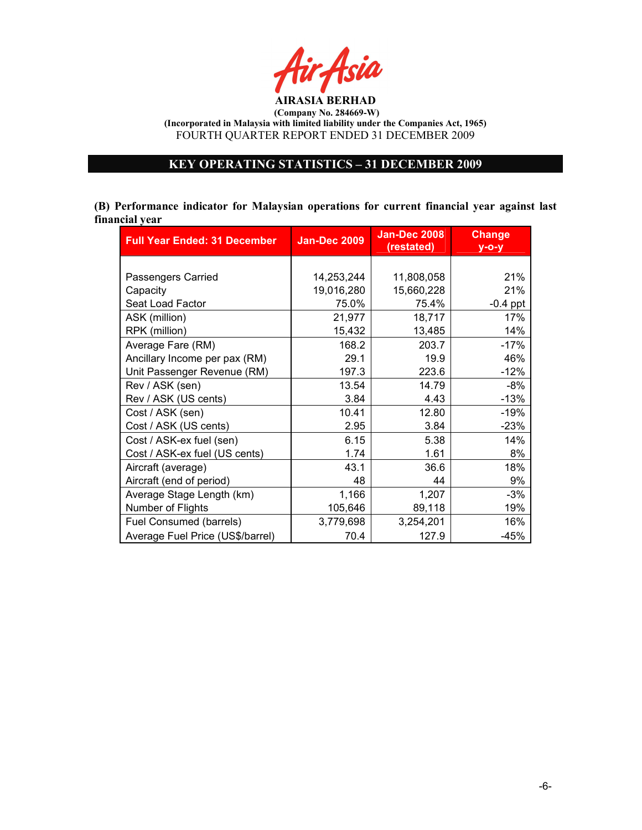

# KEY OPERATING STATISTICS – 31 DECEMBER 2009

(B) Performance indicator for Malaysian operations for current financial year against last financial year

| <b>Full Year Ended: 31 December</b> | <b>Jan-Dec 2009</b> | <b>Jan-Dec 2008</b><br>(restated) | <b>Change</b><br>$y$ -o-y |
|-------------------------------------|---------------------|-----------------------------------|---------------------------|
|                                     |                     |                                   |                           |
| Passengers Carried                  | 14,253,244          | 11,808,058                        | 21%                       |
| Capacity                            | 19,016,280          | 15,660,228                        | 21%                       |
| Seat Load Factor                    | 75.0%               | 75.4%                             | $-0.4$ ppt                |
| ASK (million)                       | 21,977              | 18,717                            | 17%                       |
| RPK (million)                       | 15,432              | 13,485                            | 14%                       |
| Average Fare (RM)                   | 168.2               | 203.7                             | $-17%$                    |
| Ancillary Income per pax (RM)       | 29.1                | 19.9                              | 46%                       |
| Unit Passenger Revenue (RM)         | 197.3               | 223.6                             | $-12%$                    |
| Rev / ASK (sen)                     | 13.54               | 14.79                             | -8%                       |
| Rev / ASK (US cents)                | 3.84                | 4.43                              | $-13%$                    |
| Cost / ASK (sen)                    | 10.41               | 12.80                             | $-19%$                    |
| Cost / ASK (US cents)               | 2.95                | 3.84                              | $-23%$                    |
| Cost / ASK-ex fuel (sen)            | 6.15                | 5.38                              | 14%                       |
| Cost / ASK-ex fuel (US cents)       | 1.74                | 1.61                              | 8%                        |
| Aircraft (average)                  | 43.1                | 36.6                              | 18%                       |
| Aircraft (end of period)            | 48                  | 44                                | 9%                        |
| Average Stage Length (km)           | 1,166               | 1,207                             | $-3%$                     |
| Number of Flights                   | 105,646             | 89,118                            | 19%                       |
| Fuel Consumed (barrels)             | 3,779,698           | 3,254,201                         | 16%                       |
| Average Fuel Price (US\$/barrel)    | 70.4                | 127.9                             | $-45%$                    |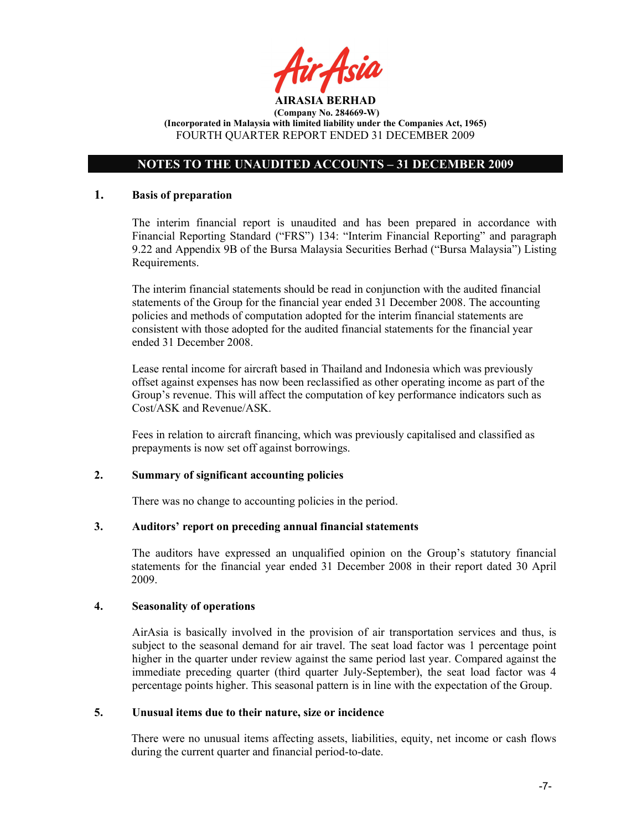

# NOTES TO THE UNAUDITED ACCOUNTS – 31 DECEMBER 2009

### 1. Basis of preparation

The interim financial report is unaudited and has been prepared in accordance with Financial Reporting Standard ("FRS") 134: "Interim Financial Reporting" and paragraph 9.22 and Appendix 9B of the Bursa Malaysia Securities Berhad ("Bursa Malaysia") Listing Requirements.

The interim financial statements should be read in conjunction with the audited financial statements of the Group for the financial year ended 31 December 2008. The accounting policies and methods of computation adopted for the interim financial statements are consistent with those adopted for the audited financial statements for the financial year ended 31 December 2008.

Lease rental income for aircraft based in Thailand and Indonesia which was previously offset against expenses has now been reclassified as other operating income as part of the Group's revenue. This will affect the computation of key performance indicators such as Cost/ASK and Revenue/ASK.

Fees in relation to aircraft financing, which was previously capitalised and classified as prepayments is now set off against borrowings.

## 2. Summary of significant accounting policies

There was no change to accounting policies in the period.

## 3. Auditors' report on preceding annual financial statements

The auditors have expressed an unqualified opinion on the Group's statutory financial statements for the financial year ended 31 December 2008 in their report dated 30 April 2009.

## 4. Seasonality of operations

AirAsia is basically involved in the provision of air transportation services and thus, is subject to the seasonal demand for air travel. The seat load factor was 1 percentage point higher in the quarter under review against the same period last year. Compared against the immediate preceding quarter (third quarter July-September), the seat load factor was 4 percentage points higher. This seasonal pattern is in line with the expectation of the Group.

#### 5. Unusual items due to their nature, size or incidence

There were no unusual items affecting assets, liabilities, equity, net income or cash flows during the current quarter and financial period-to-date.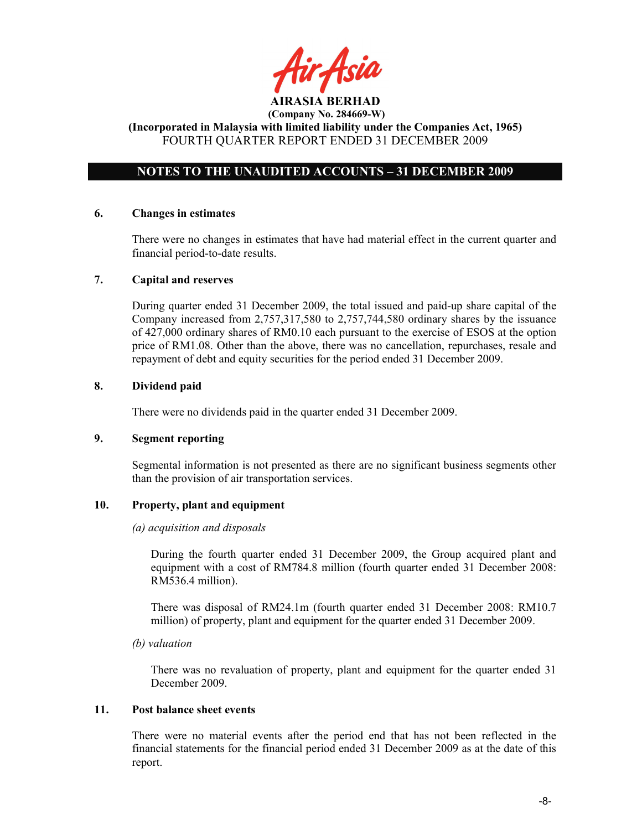tir Asid

# NOTES TO THE UNAUDITED ACCOUNTS – 31 DECEMBER 2009

## 6. Changes in estimates

There were no changes in estimates that have had material effect in the current quarter and financial period-to-date results.

#### 7. Capital and reserves

During quarter ended 31 December 2009, the total issued and paid-up share capital of the Company increased from 2,757,317,580 to 2,757,744,580 ordinary shares by the issuance of 427,000 ordinary shares of RM0.10 each pursuant to the exercise of ESOS at the option price of RM1.08. Other than the above, there was no cancellation, repurchases, resale and repayment of debt and equity securities for the period ended 31 December 2009.

## 8. Dividend paid

There were no dividends paid in the quarter ended 31 December 2009.

## 9. Segment reporting

Segmental information is not presented as there are no significant business segments other than the provision of air transportation services.

## 10. Property, plant and equipment

#### (a) acquisition and disposals

During the fourth quarter ended 31 December 2009, the Group acquired plant and equipment with a cost of RM784.8 million (fourth quarter ended 31 December 2008: RM536.4 million).

There was disposal of RM24.1m (fourth quarter ended 31 December 2008: RM10.7 million) of property, plant and equipment for the quarter ended 31 December 2009.

#### (b) valuation

 There was no revaluation of property, plant and equipment for the quarter ended 31 December 2009.

#### 11. Post balance sheet events

There were no material events after the period end that has not been reflected in the financial statements for the financial period ended 31 December 2009 as at the date of this report.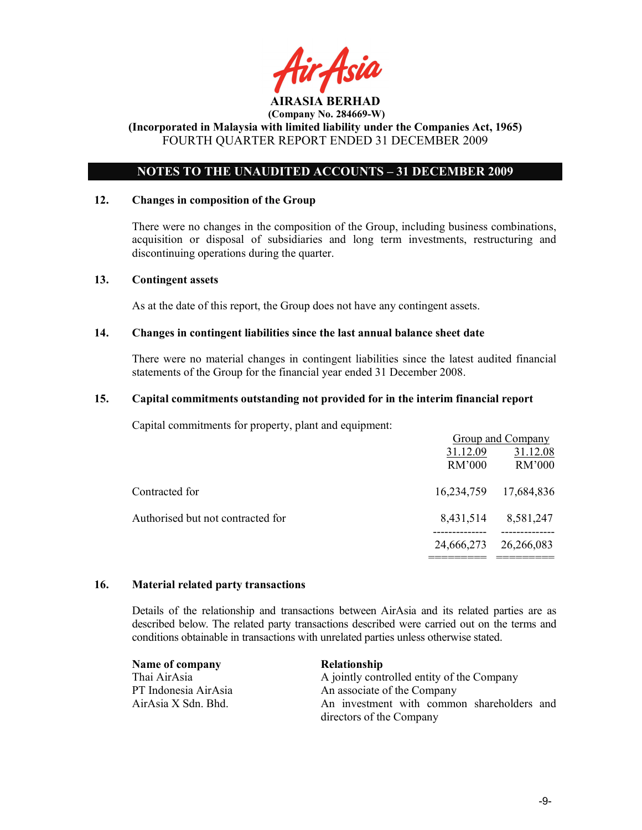

## NOTES TO THE UNAUDITED ACCOUNTS – 31 DECEMBER 2009

#### 12. Changes in composition of the Group

There were no changes in the composition of the Group, including business combinations, acquisition or disposal of subsidiaries and long term investments, restructuring and discontinuing operations during the quarter.

#### 13. Contingent assets

As at the date of this report, the Group does not have any contingent assets.

#### 14. Changes in contingent liabilities since the last annual balance sheet date

There were no material changes in contingent liabilities since the latest audited financial statements of the Group for the financial year ended 31 December 2008.

#### 15. Capital commitments outstanding not provided for in the interim financial report

Capital commitments for property, plant and equipment:

|                                   |            | Group and Company |
|-----------------------------------|------------|-------------------|
|                                   | 31.12.09   | 31.12.08          |
|                                   | RM'000     | RM'000            |
| Contracted for                    | 16,234,759 | 17,684,836        |
| Authorised but not contracted for | 8,431,514  | 8,581,247         |
|                                   | 24,666,273 | 26,266,083        |

### 16. Material related party transactions

Details of the relationship and transactions between AirAsia and its related parties are as described below. The related party transactions described were carried out on the terms and conditions obtainable in transactions with unrelated parties unless otherwise stated.

| Name of company      | <b>Relationship</b>                        |  |  |  |
|----------------------|--------------------------------------------|--|--|--|
| Thai AirAsia         | A jointly controlled entity of the Company |  |  |  |
| PT Indonesia AirAsia | An associate of the Company                |  |  |  |
| AirAsia X Sdn. Bhd.  | An investment with common shareholders and |  |  |  |
|                      | directors of the Company                   |  |  |  |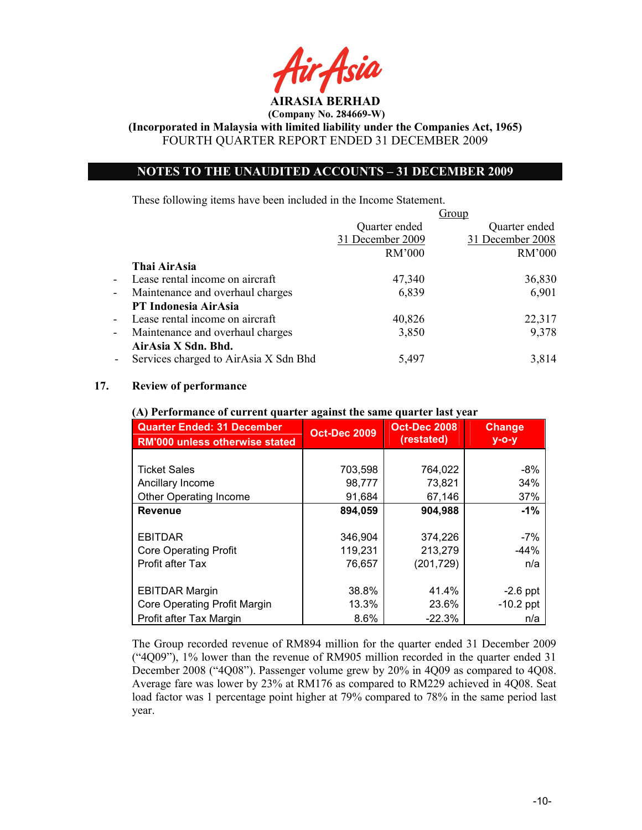AIRASIA BERHAD

(Incorporated in Malaysia with limited liability under the Companies Act, 1965) FOURTH QUARTER REPORT ENDED 31 DECEMBER 2009

## NOTES TO THE UNAUDITED ACCOUNTS – 31 DECEMBER 2009

These following items have been included in the Income Statement.

| Group                                |
|--------------------------------------|
| Quarter ended<br>Quarter ended       |
| 31 December 2009<br>31 December 2008 |
| RM'000<br>RM'000                     |
|                                      |
| 47,340<br>36,830                     |
| 6,901<br>6,839                       |
|                                      |
| 22,317<br>40,826                     |
| 9,378<br>3,850                       |
|                                      |
| 5,497<br>3,814                       |
|                                      |

### 17. Review of performance

#### (A) Performance of current quarter against the same quarter last year

| <b>Quarter Ended: 31 December</b><br><b>RM'000 unless otherwise stated</b> | <b>Oct-Dec 2009</b> | <b>Oct-Dec 2008</b><br>(restated) | <b>Change</b><br>$y$ -o-y |
|----------------------------------------------------------------------------|---------------------|-----------------------------------|---------------------------|
|                                                                            |                     |                                   |                           |
| <b>Ticket Sales</b>                                                        | 703,598             | 764,022                           | $-8%$                     |
| Ancillary Income                                                           | 98,777              | 73,821                            | 34%                       |
| <b>Other Operating Income</b>                                              | 91,684              | 67,146                            | 37%                       |
| <b>Revenue</b>                                                             | 894,059             | 904,988                           | $-1\%$                    |
|                                                                            |                     |                                   |                           |
| <b>EBITDAR</b>                                                             | 346,904             | 374,226                           | $-7%$                     |
| <b>Core Operating Profit</b>                                               | 119,231             | 213,279                           | $-44%$                    |
| Profit after Tax                                                           | 76,657              | (201, 729)                        | n/a                       |
|                                                                            |                     |                                   |                           |
| <b>EBITDAR Margin</b>                                                      | 38.8%               | 41.4%                             | $-2.6$ ppt                |
| Core Operating Profit Margin                                               | 13.3%               | 23.6%                             | $-10.2$ ppt               |
| Profit after Tax Margin                                                    | $8.6\%$             | $-22.3%$                          | n/a                       |

The Group recorded revenue of RM894 million for the quarter ended 31 December 2009 ("4Q09"), 1% lower than the revenue of RM905 million recorded in the quarter ended 31 December 2008 ("4Q08"). Passenger volume grew by 20% in 4Q09 as compared to 4Q08. Average fare was lower by 23% at RM176 as compared to RM229 achieved in 4Q08. Seat load factor was 1 percentage point higher at 79% compared to 78% in the same period last year.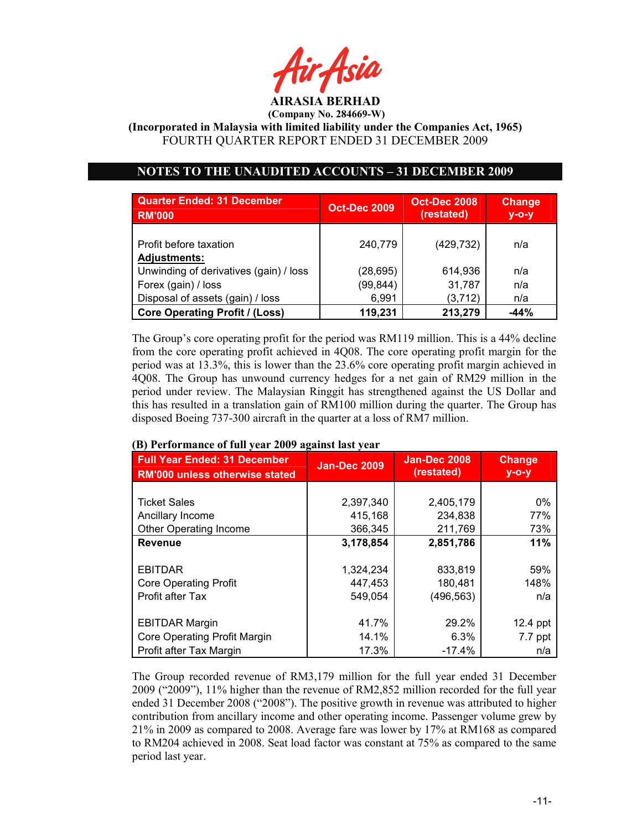

(Incorporated in Malaysia with limited liability under the Companies Act, 1965) FOURTH QUARTER REPORT ENDED 31 DECEMBER 2009

# NOTES TO THE UNAUDITED ACCOUNTS – 31 DECEMBER 2009

| <b>Quarter Ended: 31 December</b><br><b>RM'000</b> | <b>Oct-Dec 2009</b> | <b>Oct-Dec 2008</b><br>(restated) | <b>Change</b><br>$y$ -o-y |
|----------------------------------------------------|---------------------|-----------------------------------|---------------------------|
| Profit before taxation<br><b>Adjustments:</b>      | 240.779             | (429, 732)                        | n/a                       |
| Unwinding of derivatives (gain) / loss             | (28,695)            | 614,936                           | n/a                       |
| Forex (gain) / loss                                | (99, 844)           | 31,787                            | n/a                       |
| Disposal of assets (gain) / loss                   | 6,991               | (3,712)                           | n/a                       |
| <b>Core Operating Profit / (Loss)</b>              | 119,231             | 213,279                           | $-44%$                    |

The Group's core operating profit for the period was RM119 million. This is a 44% decline from the core operating profit achieved in 4Q08. The core operating profit margin for the period was at 13.3%, this is lower than the 23.6% core operating profit margin achieved in 4Q08. The Group has unwound currency hedges for a net gain of RM29 million in the period under review. The Malaysian Ringgit has strengthened against the US Dollar and this has resulted in a translation gain of RM100 million during the quarter. The Group has disposed Boeing 737-300 aircraft in the quarter at a loss of RM7 million.

| (D) I CHOHMANCE OF TUH YEAT 2007 Agamst Iast YeaT                            |                     |                                   |                           |  |  |  |
|------------------------------------------------------------------------------|---------------------|-----------------------------------|---------------------------|--|--|--|
| <b>Full Year Ended: 31 December</b><br><b>RM'000 unless otherwise stated</b> | <b>Jan-Dec 2009</b> | <b>Jan-Dec 2008</b><br>(restated) | <b>Change</b><br>$y$ -o-y |  |  |  |
|                                                                              |                     |                                   |                           |  |  |  |
| <b>Ticket Sales</b>                                                          | 2,397,340           | 2,405,179                         | $0\%$                     |  |  |  |
| Ancillary Income                                                             | 415,168             | 234,838                           | 77%                       |  |  |  |
| <b>Other Operating Income</b>                                                | 366,345             | 211,769                           | 73%                       |  |  |  |
| <b>Revenue</b>                                                               | 3,178,854           | 2,851,786                         | 11%                       |  |  |  |
|                                                                              |                     |                                   |                           |  |  |  |
| <b>EBITDAR</b>                                                               | 1,324,234           | 833,819                           | 59%                       |  |  |  |
| <b>Core Operating Profit</b>                                                 | 447,453             | 180,481                           | 148%                      |  |  |  |
| Profit after Tax                                                             | 549,054             | (496, 563)                        | n/a                       |  |  |  |
|                                                                              |                     |                                   |                           |  |  |  |
| <b>EBITDAR Margin</b>                                                        | 41.7%               | 29.2%                             | 12.4 ppt                  |  |  |  |
| Core Operating Profit Margin                                                 | 14.1%               | 6.3%                              | 7.7 ppt                   |  |  |  |
| Profit after Tax Margin                                                      | 17.3%               | $-17.4%$                          | n/a                       |  |  |  |

## (B) Performance of full year 2009 against last year

The Group recorded revenue of RM3,179 million for the full year ended 31 December 2009 ("2009"), 11% higher than the revenue of RM2,852 million recorded for the full year ended 31 December 2008 ("2008"). The positive growth in revenue was attributed to higher contribution from ancillary income and other operating income. Passenger volume grew by 21% in 2009 as compared to 2008. Average fare was lower by 17% at RM168 as compared to RM204 achieved in 2008. Seat load factor was constant at 75% as compared to the same period last year.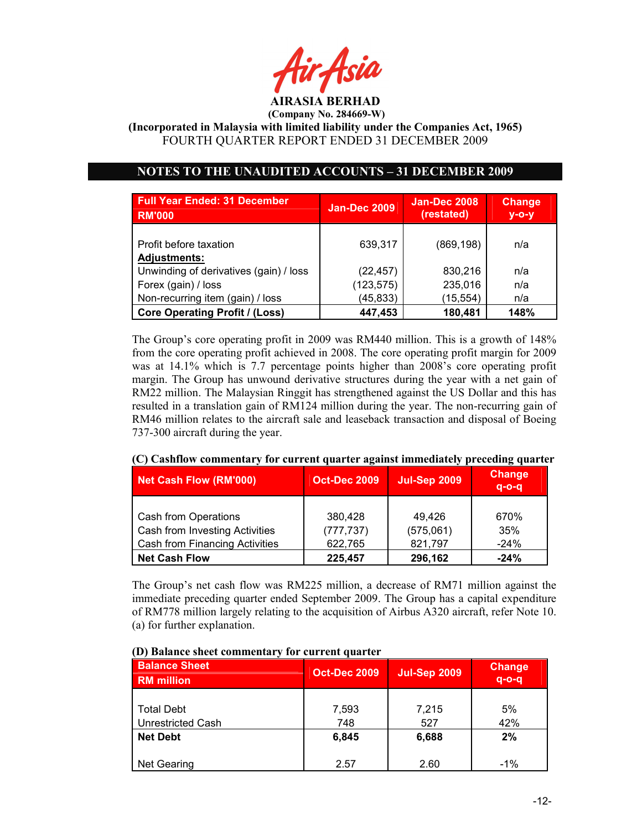

(Incorporated in Malaysia with limited liability under the Companies Act, 1965) FOURTH QUARTER REPORT ENDED 31 DECEMBER 2009

# NOTES TO THE UNAUDITED ACCOUNTS – 31 DECEMBER 2009

| <b>Full Year Ended: 31 December</b><br><b>RM'000</b> | <b>Jan-Dec 2009</b> | <b>Jan-Dec 2008</b><br>(restated) | <b>Change</b><br>$y$ -o-y |
|------------------------------------------------------|---------------------|-----------------------------------|---------------------------|
| Profit before taxation<br><b>Adjustments:</b>        | 639.317             | (869, 198)                        | n/a                       |
| Unwinding of derivatives (gain) / loss               | (22, 457)           | 830,216                           | n/a                       |
| Forex (gain) / loss                                  | (123, 575)          | 235,016                           | n/a                       |
| Non-recurring item (gain) / loss                     | (45, 833)           | (15, 554)                         | n/a                       |
| <b>Core Operating Profit / (Loss)</b>                | 447,453             | 180,481                           | 148%                      |

The Group's core operating profit in 2009 was RM440 million. This is a growth of 148% from the core operating profit achieved in 2008. The core operating profit margin for 2009 was at 14.1% which is 7.7 percentage points higher than 2008's core operating profit margin. The Group has unwound derivative structures during the year with a net gain of RM22 million. The Malaysian Ringgit has strengthened against the US Dollar and this has resulted in a translation gain of RM124 million during the year. The non-recurring gain of RM46 million relates to the aircraft sale and leaseback transaction and disposal of Boeing 737-300 aircraft during the year.

| Net Cash Flow (RM'000)                | <b>Oct-Dec 2009</b> | <b>Jul-Sep 2009</b> | <b>Change</b><br>$q - o - q$ |
|---------------------------------------|---------------------|---------------------|------------------------------|
|                                       |                     |                     |                              |
| Cash from Operations                  | 380.428             | 49,426              | 670%                         |
| Cash from Investing Activities        | (777, 737)          | (575,061)           | 35%                          |
| <b>Cash from Financing Activities</b> | 622,765             | 821,797             | $-24%$                       |
| <b>Net Cash Flow</b>                  | 225,457             | 296,162             | $-24%$                       |

## (C) Cashflow commentary for current quarter against immediately preceding quarter

The Group's net cash flow was RM225 million, a decrease of RM71 million against the immediate preceding quarter ended September 2009. The Group has a capital expenditure of RM778 million largely relating to the acquisition of Airbus A320 aircraft, refer Note 10. (a) for further explanation.

| D) Dalance sheet commentary for current quarter |                                            |       |                              |  |  |  |  |
|-------------------------------------------------|--------------------------------------------|-------|------------------------------|--|--|--|--|
| <b>Balance Sheet</b><br><b>RM</b> million       | <b>Oct-Dec 2009</b><br><b>Jul-Sep 2009</b> |       | <b>Change</b><br>$q - o - q$ |  |  |  |  |
|                                                 |                                            |       |                              |  |  |  |  |
| <b>Total Debt</b>                               | 7,593                                      | 7,215 | 5%                           |  |  |  |  |
| <b>Unrestricted Cash</b>                        | 748                                        | 527   | 42%                          |  |  |  |  |
| <b>Net Debt</b>                                 | 6,845                                      | 6,688 | 2%                           |  |  |  |  |
|                                                 |                                            |       |                              |  |  |  |  |
| <b>Net Gearing</b>                              | 2.57                                       | 2.60  | $-1\%$                       |  |  |  |  |

### (D) Balance sheet commentary for current quarter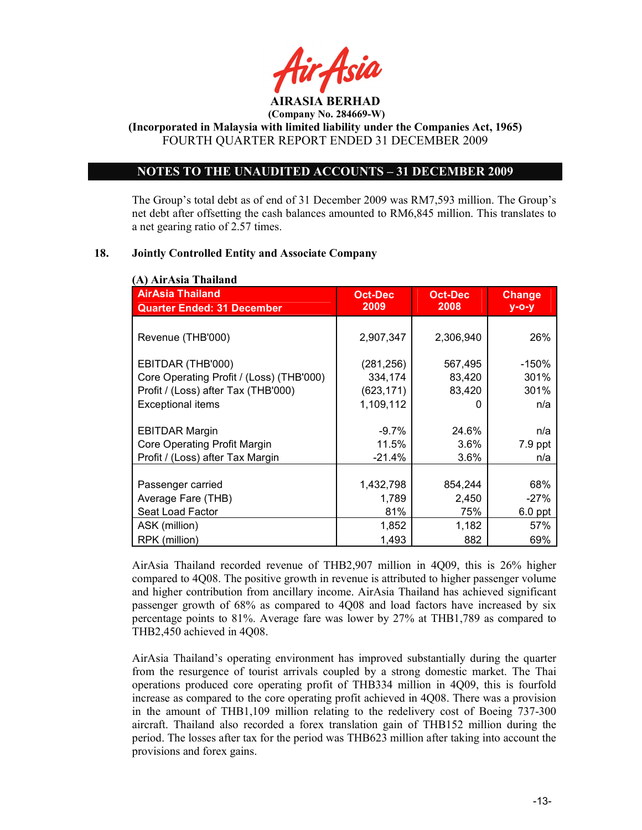

(Incorporated in Malaysia with limited liability under the Companies Act, 1965) FOURTH QUARTER REPORT ENDED 31 DECEMBER 2009

## NOTES TO THE UNAUDITED ACCOUNTS – 31 DECEMBER 2009

The Group's total debt as of end of 31 December 2009 was RM7,593 million. The Group's net debt after offsetting the cash balances amounted to RM6,845 million. This translates to a net gearing ratio of 2.57 times.

## 18. Jointly Controlled Entity and Associate Company

| <b>AirAsia Thailand</b>                  | <b>Oct-Dec</b> | <b>Oct-Dec</b> | <b>Change</b> |
|------------------------------------------|----------------|----------------|---------------|
| <b>Quarter Ended: 31 December</b>        | 2009           | 2008           | $y - o - y$   |
|                                          |                |                |               |
| Revenue (THB'000)                        | 2,907,347      | 2,306,940      | 26%           |
|                                          |                |                |               |
| EBITDAR (THB'000)                        | (281,256)      | 567,495        | $-150%$       |
| Core Operating Profit / (Loss) (THB'000) | 334,174        | 83,420         | 301%          |
| Profit / (Loss) after Tax (THB'000)      | (623, 171)     | 83,420         | 301%          |
| <b>Exceptional items</b>                 | 1,109,112      | 0              | n/a           |
|                                          |                |                |               |
| <b>EBITDAR Margin</b>                    | $-9.7\%$       | 24.6%          | n/a           |
| Core Operating Profit Margin             | 11.5%          | 3.6%           | 7.9 ppt       |
| Profit / (Loss) after Tax Margin         | $-21.4%$       | $3.6\%$        | n/a           |
|                                          |                |                |               |
| Passenger carried                        | 1,432,798      | 854,244        | 68%           |
| Average Fare (THB)                       | 1,789          | 2,450          | $-27%$        |
| Seat Load Factor                         | 81%            | 75%            | $6.0$ ppt     |
| ASK (million)                            | 1,852          | 1,182          | 57%           |
| RPK (million)                            | 1,493          | 882            | 69%           |

AirAsia Thailand recorded revenue of THB2,907 million in 4Q09, this is 26% higher compared to 4Q08. The positive growth in revenue is attributed to higher passenger volume and higher contribution from ancillary income. AirAsia Thailand has achieved significant passenger growth of 68% as compared to 4Q08 and load factors have increased by six percentage points to 81%. Average fare was lower by 27% at THB1,789 as compared to THB2,450 achieved in 4Q08.

AirAsia Thailand's operating environment has improved substantially during the quarter from the resurgence of tourist arrivals coupled by a strong domestic market. The Thai operations produced core operating profit of THB334 million in 4Q09, this is fourfold increase as compared to the core operating profit achieved in 4Q08. There was a provision in the amount of THB1,109 million relating to the redelivery cost of Boeing 737-300 aircraft. Thailand also recorded a forex translation gain of THB152 million during the period. The losses after tax for the period was THB623 million after taking into account the provisions and forex gains.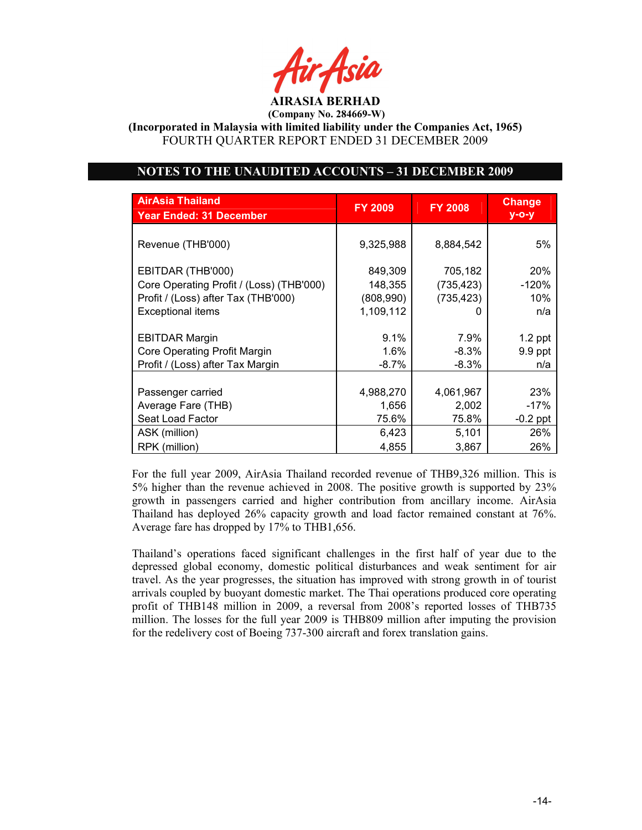AIRASIA BERHAD

(Incorporated in Malaysia with limited liability under the Companies Act, 1965) FOURTH QUARTER REPORT ENDED 31 DECEMBER 2009

## NOTES TO THE UNAUDITED ACCOUNTS – 31 DECEMBER 2009

| <b>AirAsia Thailand</b><br><b>Year Ended: 31 December</b>                                                                        | <b>FY 2009</b>                               | <b>FY 2008</b>                      | <b>Change</b><br>$y - o - y$ |
|----------------------------------------------------------------------------------------------------------------------------------|----------------------------------------------|-------------------------------------|------------------------------|
| Revenue (THB'000)                                                                                                                | 9,325,988                                    | 8,884,542                           | 5%                           |
| EBITDAR (THB'000)<br>Core Operating Profit / (Loss) (THB'000)<br>Profit / (Loss) after Tax (THB'000)<br><b>Exceptional items</b> | 849,309<br>148,355<br>(808,990)<br>1,109,112 | 705,182<br>(735, 423)<br>(735, 423) | 20%<br>-120%<br>10%<br>n/a   |
| <b>EBITDAR Margin</b>                                                                                                            | 9.1%                                         | 7.9%                                | $1.2$ ppt                    |
| Core Operating Profit Margin                                                                                                     | $1.6\%$                                      | $-8.3%$                             | 9.9 ppt                      |
| Profit / (Loss) after Tax Margin                                                                                                 | $-8.7\%$                                     | $-8.3\%$                            | n/a                          |
| Passenger carried                                                                                                                | 4,988,270                                    | 4,061,967                           | 23%                          |
| Average Fare (THB)                                                                                                               | 1,656                                        | 2,002                               | $-17%$                       |
| Seat Load Factor                                                                                                                 | 75.6%                                        | 75.8%                               | $-0.2$ ppt                   |
| ASK (million)                                                                                                                    | 6,423                                        | 5,101                               | 26%                          |
| RPK (million)                                                                                                                    | 4,855                                        | 3,867                               | 26%                          |

For the full year 2009, AirAsia Thailand recorded revenue of THB9,326 million. This is 5% higher than the revenue achieved in 2008. The positive growth is supported by 23% growth in passengers carried and higher contribution from ancillary income. AirAsia Thailand has deployed 26% capacity growth and load factor remained constant at 76%. Average fare has dropped by 17% to THB1,656.

Thailand's operations faced significant challenges in the first half of year due to the depressed global economy, domestic political disturbances and weak sentiment for air travel. As the year progresses, the situation has improved with strong growth in of tourist arrivals coupled by buoyant domestic market. The Thai operations produced core operating profit of THB148 million in 2009, a reversal from 2008's reported losses of THB735 million. The losses for the full year 2009 is THB809 million after imputing the provision for the redelivery cost of Boeing 737-300 aircraft and forex translation gains.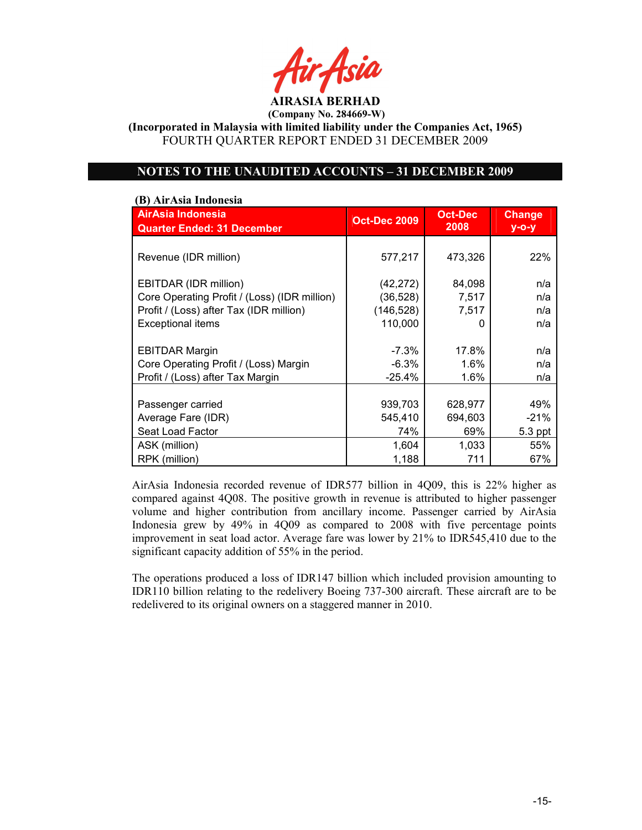AIRASIA BERHAD

(Incorporated in Malaysia with limited liability under the Companies Act, 1965) FOURTH QUARTER REPORT ENDED 31 DECEMBER 2009

## NOTES TO THE UNAUDITED ACCOUNTS – 31 DECEMBER 2009

#### (B) AirAsia Indonesia

| AirAsia Indonesia<br><b>Quarter Ended: 31 December</b> | <b>Oct-Dec 2009</b> | <b>Oct-Dec</b><br>2008 | <b>Change</b><br>$y - o - y$ |
|--------------------------------------------------------|---------------------|------------------------|------------------------------|
|                                                        |                     |                        |                              |
| Revenue (IDR million)                                  | 577,217             | 473,326                | 22%                          |
|                                                        |                     |                        |                              |
| EBITDAR (IDR million)                                  | (42, 272)           | 84,098                 | n/a                          |
| Core Operating Profit / (Loss) (IDR million)           | (36,528)            | 7,517                  | n/a                          |
| Profit / (Loss) after Tax (IDR million)                | (146, 528)          | 7,517                  | n/a                          |
| <b>Exceptional items</b>                               | 110,000             | O                      | n/a                          |
|                                                        |                     |                        |                              |
| <b>EBITDAR Margin</b>                                  | $-7.3\%$            | 17.8%                  | n/a                          |
| Core Operating Profit / (Loss) Margin                  | $-6.3%$             | 1.6%                   | n/a                          |
| Profit / (Loss) after Tax Margin                       | $-25.4%$            | 1.6%                   | n/a                          |
|                                                        |                     |                        |                              |
| Passenger carried                                      | 939,703             | 628,977                | 49%                          |
| Average Fare (IDR)                                     | 545,410             | 694,603                | $-21%$                       |
| Seat Load Factor                                       | 74%                 | 69%                    | 5.3 ppt                      |
| ASK (million)                                          | 1,604               | 1,033                  | 55%                          |
| RPK (million)                                          | 1,188               | 711                    | 67%                          |

AirAsia Indonesia recorded revenue of IDR577 billion in 4Q09, this is 22% higher as compared against 4Q08. The positive growth in revenue is attributed to higher passenger volume and higher contribution from ancillary income. Passenger carried by AirAsia Indonesia grew by 49% in 4Q09 as compared to 2008 with five percentage points improvement in seat load actor. Average fare was lower by 21% to IDR545,410 due to the significant capacity addition of 55% in the period.

The operations produced a loss of IDR147 billion which included provision amounting to IDR110 billion relating to the redelivery Boeing 737-300 aircraft. These aircraft are to be redelivered to its original owners on a staggered manner in 2010.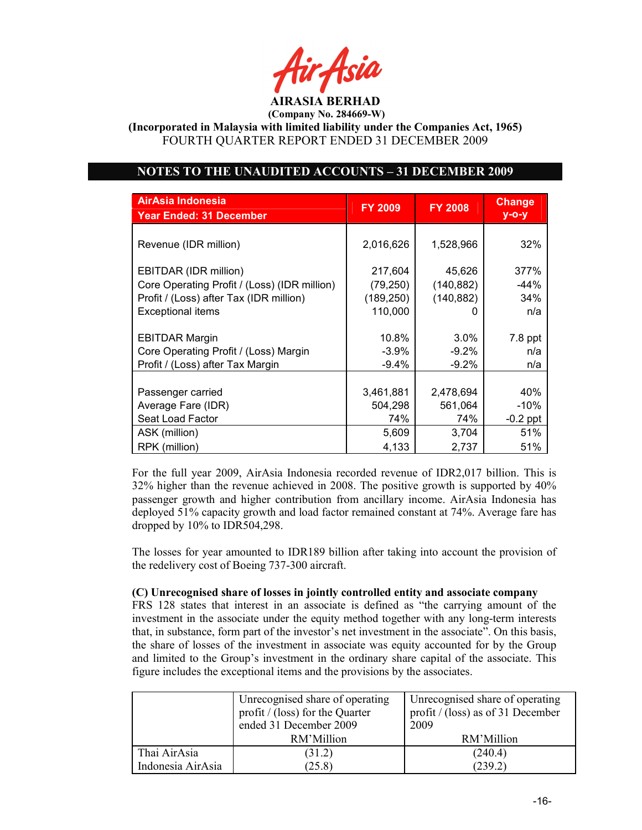AIRASIA BERHAD

(Incorporated in Malaysia with limited liability under the Companies Act, 1965) FOURTH QUARTER REPORT ENDED 31 DECEMBER 2009

# NOTES TO THE UNAUDITED ACCOUNTS – 31 DECEMBER 2009

| AirAsia Indonesia<br><b>Year Ended: 31 December</b> | <b>FY 2009</b> | <b>FY 2008</b> | <b>Change</b><br>$y$ -o-y |
|-----------------------------------------------------|----------------|----------------|---------------------------|
|                                                     |                |                |                           |
| Revenue (IDR million)                               | 2,016,626      | 1,528,966      | 32%                       |
| EBITDAR (IDR million)                               | 217,604        | 45,626         | 377%                      |
| Core Operating Profit / (Loss) (IDR million)        | (79, 250)      | (140, 882)     | $-44%$                    |
| Profit / (Loss) after Tax (IDR million)             | (189, 250)     | (140, 882)     | 34%                       |
| <b>Exceptional items</b>                            | 110,000        | 0              | n/a                       |
|                                                     |                |                |                           |
| <b>EBITDAR Margin</b>                               | 10.8%          | $3.0\%$        | 7.8 ppt                   |
| Core Operating Profit / (Loss) Margin               | $-3.9%$        | $-9.2\%$       | n/a                       |
| Profit / (Loss) after Tax Margin                    | $-9.4%$        | $-9.2%$        | n/a                       |
|                                                     |                |                |                           |
| Passenger carried                                   | 3,461,881      | 2,478,694      | 40%                       |
| Average Fare (IDR)                                  | 504,298        | 561,064        | -10%                      |
| Seat Load Factor                                    | 74%            | 74%            | $-0.2$ ppt                |
| ASK (million)                                       | 5,609          | 3,704          | 51%                       |
| RPK (million)                                       | 4,133          | 2,737          | 51%                       |

For the full year 2009, AirAsia Indonesia recorded revenue of IDR2,017 billion. This is 32% higher than the revenue achieved in 2008. The positive growth is supported by 40% passenger growth and higher contribution from ancillary income. AirAsia Indonesia has deployed 51% capacity growth and load factor remained constant at 74%. Average fare has dropped by 10% to IDR504,298.

The losses for year amounted to IDR189 billion after taking into account the provision of the redelivery cost of Boeing 737-300 aircraft.

#### (C) Unrecognised share of losses in jointly controlled entity and associate company

FRS 128 states that interest in an associate is defined as "the carrying amount of the investment in the associate under the equity method together with any long-term interests that, in substance, form part of the investor's net investment in the associate". On this basis, the share of losses of the investment in associate was equity accounted for by the Group and limited to the Group's investment in the ordinary share capital of the associate. This figure includes the exceptional items and the provisions by the associates.

|                   | Unrecognised share of operating<br>profit / (loss) for the Quarter<br>ended 31 December 2009 | Unrecognised share of operating<br>profit / (loss) as of 31 December<br>2009 |
|-------------------|----------------------------------------------------------------------------------------------|------------------------------------------------------------------------------|
|                   | RM'Million                                                                                   | RM'Million                                                                   |
| Thai AirAsia      | (31.2)                                                                                       | (240.4)                                                                      |
| Indonesia AirAsia | (25.8)                                                                                       | (239.2)                                                                      |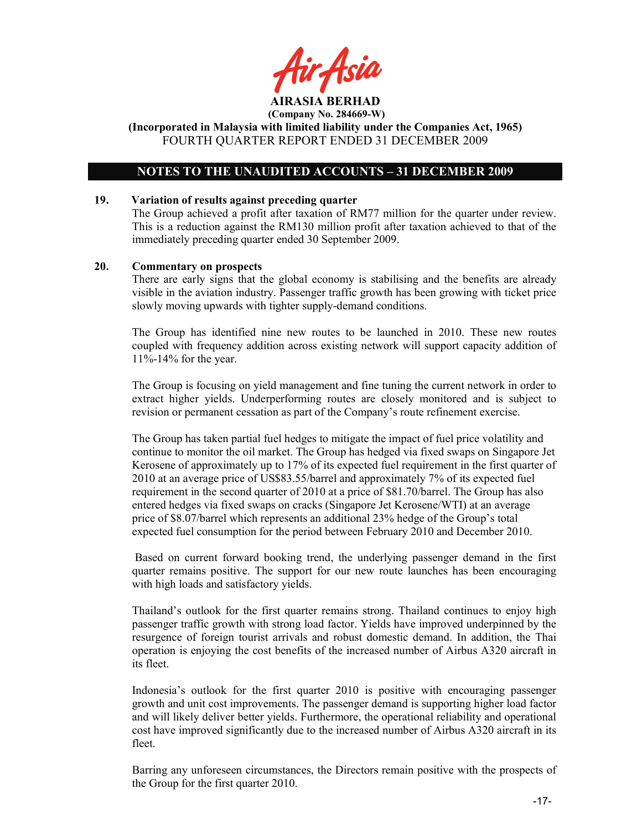tir Asid AIRASIA BERHAD

(Incorporated in Malaysia with limited liability under the Companies Act, 1965) FOURTH QUARTER REPORT ENDED 31 DECEMBER 2009

## NOTES TO THE UNAUDITED ACCOUNTS – 31 DECEMBER 2009

#### 19. Variation of results against preceding quarter

The Group achieved a profit after taxation of RM77 million for the quarter under review. This is a reduction against the RM130 million profit after taxation achieved to that of the immediately preceding quarter ended 30 September 2009.

#### 20. Commentary on prospects

There are early signs that the global economy is stabilising and the benefits are already visible in the aviation industry. Passenger traffic growth has been growing with ticket price slowly moving upwards with tighter supply-demand conditions.

The Group has identified nine new routes to be launched in 2010. These new routes coupled with frequency addition across existing network will support capacity addition of 11%-14% for the year.

The Group is focusing on yield management and fine tuning the current network in order to extract higher yields. Underperforming routes are closely monitored and is subject to revision or permanent cessation as part of the Company's route refinement exercise.

The Group has taken partial fuel hedges to mitigate the impact of fuel price volatility and continue to monitor the oil market. The Group has hedged via fixed swaps on Singapore Jet Kerosene of approximately up to 17% of its expected fuel requirement in the first quarter of 2010 at an average price of US\$83.55/barrel and approximately 7% of its expected fuel requirement in the second quarter of 2010 at a price of \$81.70/barrel. The Group has also entered hedges via fixed swaps on cracks (Singapore Jet Kerosene/WTI) at an average price of \$8.07/barrel which represents an additional 23% hedge of the Group's total expected fuel consumption for the period between February 2010 and December 2010.

Based on current forward booking trend, the underlying passenger demand in the first quarter remains positive. The support for our new route launches has been encouraging with high loads and satisfactory yields.

Thailand's outlook for the first quarter remains strong. Thailand continues to enjoy high passenger traffic growth with strong load factor. Yields have improved underpinned by the resurgence of foreign tourist arrivals and robust domestic demand. In addition, the Thai operation is enjoying the cost benefits of the increased number of Airbus A320 aircraft in its fleet.

Indonesia's outlook for the first quarter 2010 is positive with encouraging passenger growth and unit cost improvements. The passenger demand is supporting higher load factor and will likely deliver better yields. Furthermore, the operational reliability and operational cost have improved significantly due to the increased number of Airbus A320 aircraft in its fleet.

Barring any unforeseen circumstances, the Directors remain positive with the prospects of the Group for the first quarter 2010.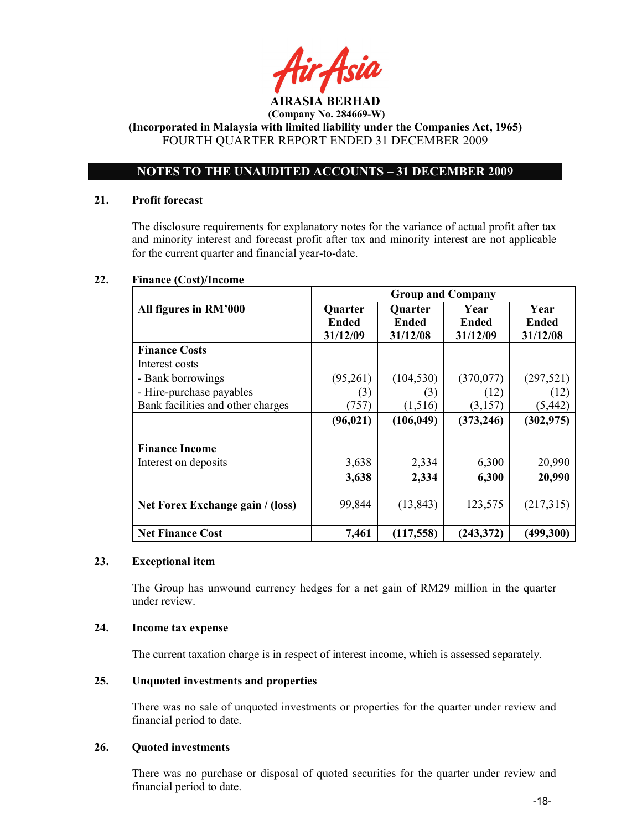

(Incorporated in Malaysia with limited liability under the Companies Act, 1965) FOURTH QUARTER REPORT ENDED 31 DECEMBER 2009

# NOTES TO THE UNAUDITED ACCOUNTS – 31 DECEMBER 2009

### 21. Profit forecast

The disclosure requirements for explanatory notes for the variance of actual profit after tax and minority interest and forecast profit after tax and minority interest are not applicable for the current quarter and financial year-to-date.

## 22. Finance (Cost)/Income

|                                   | <b>Group and Company</b> |              |              |              |
|-----------------------------------|--------------------------|--------------|--------------|--------------|
| All figures in RM'000             | Quarter                  | Quarter      | Year         | Year         |
|                                   | <b>Ended</b>             | <b>Ended</b> | <b>Ended</b> | <b>Ended</b> |
|                                   | 31/12/09                 | 31/12/08     | 31/12/09     | 31/12/08     |
| <b>Finance Costs</b>              |                          |              |              |              |
| Interest costs                    |                          |              |              |              |
| - Bank borrowings                 | (95,261)                 | (104, 530)   | (370,077)    | (297, 521)   |
| - Hire-purchase payables          | (3)                      | (3)          | (12)         | (12)         |
| Bank facilities and other charges | (757)                    | (1,516)      | (3,157)      | (5, 442)     |
|                                   | (96, 021)                | (106, 049)   | (373, 246)   | (302, 975)   |
|                                   |                          |              |              |              |
| <b>Finance Income</b>             |                          |              |              |              |
| Interest on deposits              | 3,638                    | 2,334        | 6,300        | 20,990       |
|                                   | 3,638                    | 2,334        | 6,300        | 20,990       |
|                                   |                          |              |              |              |
| Net Forex Exchange gain / (loss)  | 99,844                   | (13, 843)    | 123,575      | (217,315)    |
|                                   |                          |              |              |              |
| <b>Net Finance Cost</b>           | 7,461                    | (117,558)    | (243, 372)   | (499,300)    |

## 23. Exceptional item

The Group has unwound currency hedges for a net gain of RM29 million in the quarter under review.

## 24. Income tax expense

The current taxation charge is in respect of interest income, which is assessed separately.

# 25. Unquoted investments and properties

There was no sale of unquoted investments or properties for the quarter under review and financial period to date.

#### 26. Quoted investments

There was no purchase or disposal of quoted securities for the quarter under review and financial period to date.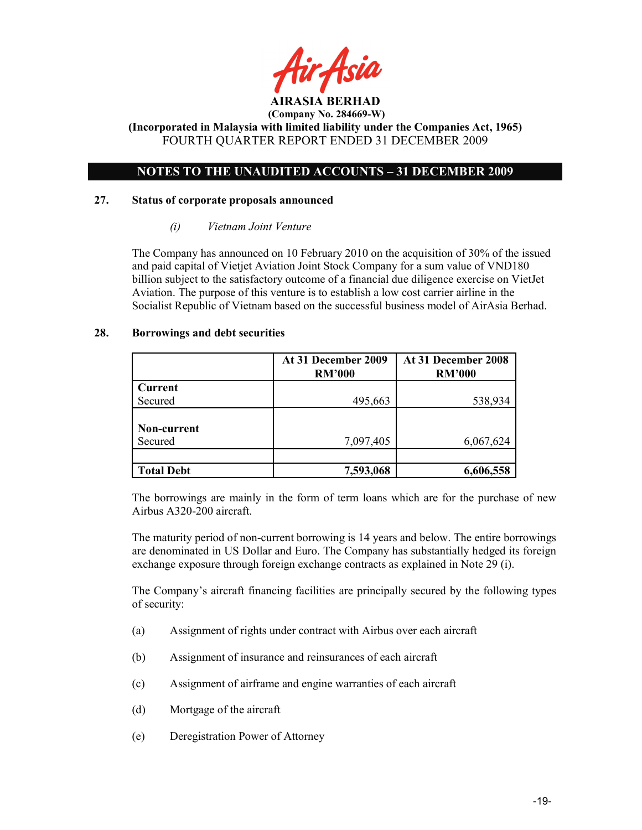

(Incorporated in Malaysia with limited liability under the Companies Act, 1965) FOURTH QUARTER REPORT ENDED 31 DECEMBER 2009

# NOTES TO THE UNAUDITED ACCOUNTS – 31 DECEMBER 2009

#### 27. Status of corporate proposals announced

#### (i) Vietnam Joint Venture

The Company has announced on 10 February 2010 on the acquisition of 30% of the issued and paid capital of Vietjet Aviation Joint Stock Company for a sum value of VND180 billion subject to the satisfactory outcome of a financial due diligence exercise on VietJet Aviation. The purpose of this venture is to establish a low cost carrier airline in the Socialist Republic of Vietnam based on the successful business model of AirAsia Berhad.

#### 28. Borrowings and debt securities

|                   | At 31 December 2009<br><b>RM'000</b> | At 31 December 2008<br><b>RM'000</b> |
|-------------------|--------------------------------------|--------------------------------------|
| Current           |                                      |                                      |
| Secured           | 495,663                              | 538,934                              |
|                   |                                      |                                      |
| Non-current       |                                      |                                      |
| Secured           | 7,097,405                            | 6,067,624                            |
|                   |                                      |                                      |
| <b>Total Debt</b> | 7,593,068                            | 6,606,558                            |

The borrowings are mainly in the form of term loans which are for the purchase of new Airbus A320-200 aircraft.

The maturity period of non-current borrowing is 14 years and below. The entire borrowings are denominated in US Dollar and Euro. The Company has substantially hedged its foreign exchange exposure through foreign exchange contracts as explained in Note 29 (i).

The Company's aircraft financing facilities are principally secured by the following types of security:

- (a) Assignment of rights under contract with Airbus over each aircraft
- (b) Assignment of insurance and reinsurances of each aircraft
- (c) Assignment of airframe and engine warranties of each aircraft
- (d) Mortgage of the aircraft
- (e) Deregistration Power of Attorney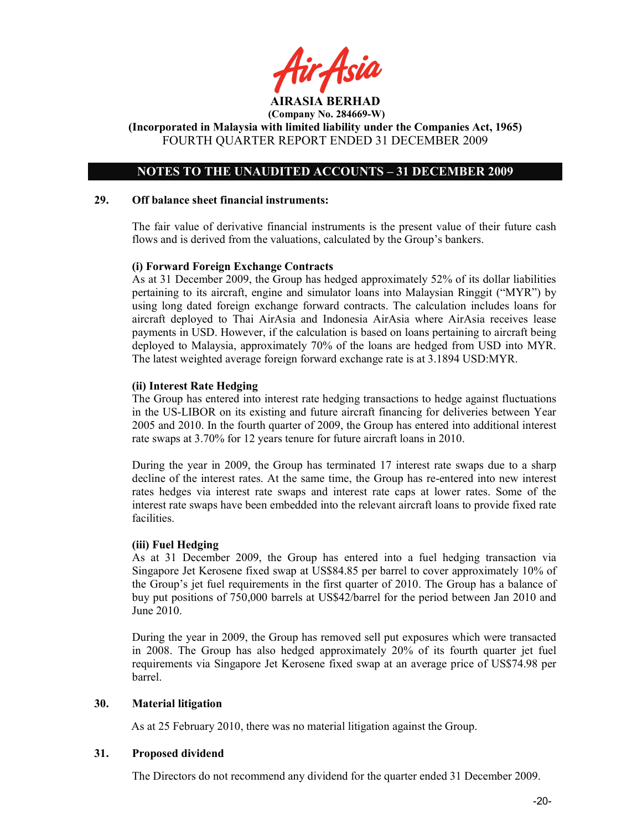AIRASIA BERHAD (Company No. 284669-W)

(Incorporated in Malaysia with limited liability under the Companies Act, 1965) FOURTH QUARTER REPORT ENDED 31 DECEMBER 2009

## NOTES TO THE UNAUDITED ACCOUNTS – 31 DECEMBER 2009

#### 29. Off balance sheet financial instruments:

The fair value of derivative financial instruments is the present value of their future cash flows and is derived from the valuations, calculated by the Group's bankers.

## (i) Forward Foreign Exchange Contracts

As at 31 December 2009, the Group has hedged approximately 52% of its dollar liabilities pertaining to its aircraft, engine and simulator loans into Malaysian Ringgit ("MYR") by using long dated foreign exchange forward contracts. The calculation includes loans for aircraft deployed to Thai AirAsia and Indonesia AirAsia where AirAsia receives lease payments in USD. However, if the calculation is based on loans pertaining to aircraft being deployed to Malaysia, approximately 70% of the loans are hedged from USD into MYR. The latest weighted average foreign forward exchange rate is at 3.1894 USD:MYR.

#### (ii) Interest Rate Hedging

The Group has entered into interest rate hedging transactions to hedge against fluctuations in the US-LIBOR on its existing and future aircraft financing for deliveries between Year 2005 and 2010. In the fourth quarter of 2009, the Group has entered into additional interest rate swaps at 3.70% for 12 years tenure for future aircraft loans in 2010.

During the year in 2009, the Group has terminated 17 interest rate swaps due to a sharp decline of the interest rates. At the same time, the Group has re-entered into new interest rates hedges via interest rate swaps and interest rate caps at lower rates. Some of the interest rate swaps have been embedded into the relevant aircraft loans to provide fixed rate facilities.

## (iii) Fuel Hedging

As at 31 December 2009, the Group has entered into a fuel hedging transaction via Singapore Jet Kerosene fixed swap at US\$84.85 per barrel to cover approximately 10% of the Group's jet fuel requirements in the first quarter of 2010. The Group has a balance of buy put positions of 750,000 barrels at US\$42/barrel for the period between Jan 2010 and June 2010.

During the year in 2009, the Group has removed sell put exposures which were transacted in 2008. The Group has also hedged approximately 20% of its fourth quarter jet fuel requirements via Singapore Jet Kerosene fixed swap at an average price of US\$74.98 per barrel.

### 30. Material litigation

As at 25 February 2010, there was no material litigation against the Group.

## 31. Proposed dividend

The Directors do not recommend any dividend for the quarter ended 31 December 2009.